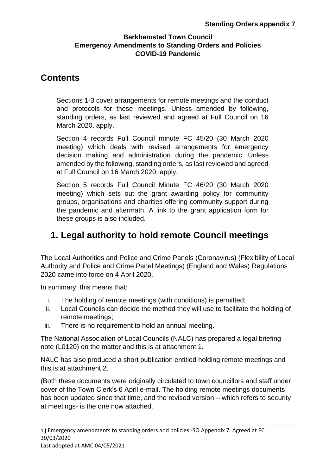# **Contents**

Sections 1-3 cover arrangements for remote meetings and the conduct and protocols for these meetings. Unless amended by following, standing orders, as last reviewed and agreed at Full Council on 16 March 2020, apply.

Section 4 records Full Council minute FC 45/20 (30 March 2020 meeting) which deals with revised arrangements for emergency decision making and administration during the pandemic. Unless amended by the following, standing orders, as last reviewed and agreed at Full Council on 16 March 2020, apply.

Section 5 records Full Council Minute FC 46/20 (30 March 2020 meeting) which sets out the grant awarding policy for community groups, organisations and charities offering community support during the pandemic and aftermath. A link to the grant application form for these groups is also included.

# **1. Legal authority to hold remote Council meetings**

The Local Authorities and Police and Crime Panels (Coronavirus) (Flexibility of Local Authority and Police and Crime Panel Meetings) (England and Wales) Regulations 2020 came into force on 4 April 2020.

In summary, this means that:

- i. The holding of remote meetings (with conditions) is permitted;
- ii. Local Councils can decide the method they will use to facilitate the holding of remote meetings;
- iii. There is no requirement to hold an annual meeting.

The National Association of Local Councils (NALC) has prepared a legal briefing note (L0120) on the matter and this is at attachment 1.

NALC has also produced a short publication entitled holding remote meetings and this is at attachment 2.

(Both these documents were originally circulated to town councillors and staff under cover of the Town Clerk's 6 April e-mail. The holding remote meetings documents has been updated since that time, and the revised version – which refers to security at meetings- is the one now attached.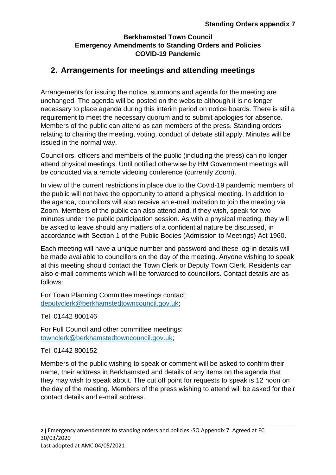# **2. Arrangements for meetings and attending meetings**

Arrangements for issuing the notice, summons and agenda for the meeting are unchanged. The agenda will be posted on the website although it is no longer necessary to place agenda during this interim period on notice boards. There is still a requirement to meet the necessary quorum and to submit apologies for absence. Members of the public can attend as can members of the press. Standing orders relating to chairing the meeting, voting, conduct of debate still apply. Minutes will be issued in the normal way.

Councillors, officers and members of the public (including the press) can no longer attend physical meetings. Until notified otherwise by HM Government meetings will be conducted via a remote videoing conference (currently Zoom).

In view of the current restrictions in place due to the Covid-19 pandemic members of the public will not have the opportunity to attend a physical meeting. In addition to the agenda, councillors will also receive an e-mail invitation to join the meeting via Zoom. Members of the public can also attend and, if they wish, speak for two minutes under the public participation session. As with a physical meeting, they will be asked to leave should any matters of a confidential nature be discussed, in accordance with Section 1 of the Public Bodies (Admission to Meetings) Act 1960.

Each meeting will have a unique number and password and these log-in details will be made available to councillors on the day of the meeting. Anyone wishing to speak at this meeting should contact the Town Clerk or Deputy Town Clerk. Residents can also e-mail comments which will be forwarded to councillors. Contact details are as follows:

For Town Planning Committee meetings contact: [deputyclerk@berkhamstedtowncouncil.gov.uk;](mailto:deputyclerk@berkhamstedtowncouncil.gov.uk)

Tel: 01442 800146

For Full Council and other committee meetings: [townclerk@berkhamstedtowncouncil.gov.uk;](mailto:townclerk@berkhamstedtowncouncil.gov.uk)

#### Tel: 01442 800152

Members of the public wishing to speak or comment will be asked to confirm their name, their address in Berkhamsted and details of any items on the agenda that they may wish to speak about. The cut off point for requests to speak is 12 noon on the day of the meeting. Members of the press wishing to attend will be asked for their contact details and e-mail address.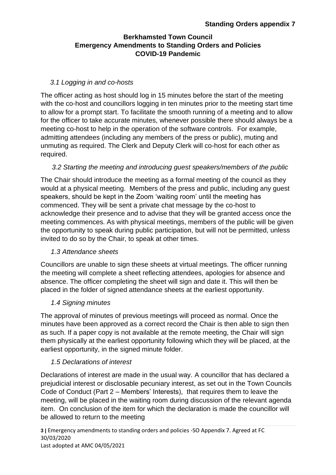#### *3.1 Logging in and co-hosts*

The officer acting as host should log in 15 minutes before the start of the meeting with the co-host and councillors logging in ten minutes prior to the meeting start time to allow for a prompt start. To facilitate the smooth running of a meeting and to allow for the officer to take accurate minutes, whenever possible there should always be a meeting co-host to help in the operation of the software controls. For example, admitting attendees (including any members of the press or public), muting and unmuting as required. The Clerk and Deputy Clerk will co-host for each other as required.

#### *3.2 Starting the meeting and introducing guest speakers/members of the public*

The Chair should introduce the meeting as a formal meeting of the council as they would at a physical meeting. Members of the press and public, including any guest speakers, should be kept in the Zoom 'waiting room' until the meeting has commenced. They will be sent a private chat message by the co-host to acknowledge their presence and to advise that they will be granted access once the meeting commences. As with physical meetings, members of the public will be given the opportunity to speak during public participation, but will not be permitted, unless invited to do so by the Chair, to speak at other times.

#### *1.3 Attendance sheets*

Councillors are unable to sign these sheets at virtual meetings. The officer running the meeting will complete a sheet reflecting attendees, apologies for absence and absence. The officer completing the sheet will sign and date it. This will then be placed in the folder of signed attendance sheets at the earliest opportunity.

#### *1.4 Signing minutes*

The approval of minutes of previous meetings will proceed as normal. Once the minutes have been approved as a correct record the Chair is then able to sign then as such. If a paper copy is not available at the remote meeting, the Chair will sign them physically at the earliest opportunity following which they will be placed, at the earliest opportunity, in the signed minute folder.

# *1.5 Declarations of interest*

Declarations of interest are made in the usual way. A councillor that has declared a prejudicial interest or disclosable pecuniary interest, as set out in the Town Councils Code of Conduct (Part 2 – Members' Interests), that requires them to leave the meeting, will be placed in the waiting room during discussion of the relevant agenda item. On conclusion of the item for which the declaration is made the councillor will be allowed to return to the meeting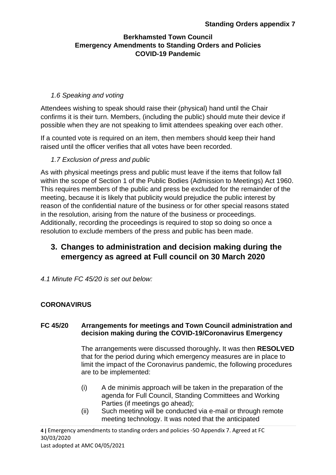### *1.6 Speaking and voting*

Attendees wishing to speak should raise their (physical) hand until the Chair confirms it is their turn. Members, (including the public) should mute their device if possible when they are not speaking to limit attendees speaking over each other.

If a counted vote is required on an item, then members should keep their hand raised until the officer verifies that all votes have been recorded.

#### *1.7 Exclusion of press and public*

As with physical meetings press and public must leave if the items that follow fall within the scope of Section 1 of the Public Bodies (Admission to Meetings) Act 1960. This requires members of the public and press be excluded for the remainder of the meeting, because it is likely that publicity would prejudice the public interest by reason of the confidential nature of the business or for other special reasons stated in the resolution, arising from the nature of the business or proceedings. Additionally, recording the proceedings is required to stop so doing so once a resolution to exclude members of the press and public has been made.

# **3. Changes to administration and decision making during the emergency as agreed at Full council on 30 March 2020**

*4.1 Minute FC 45/20 is set out below:* 

# **CORONAVIRUS**

#### **FC 45/20 Arrangements for meetings and Town Council administration and decision making during the COVID-19/Coronavirus Emergency**

The arrangements were discussed thoroughly**.** It was then **RESOLVED** that for the period during which emergency measures are in place to limit the impact of the Coronavirus pandemic, the following procedures are to be implemented:

- (i) A de minimis approach will be taken in the preparation of the agenda for Full Council, Standing Committees and Working Parties (if meetings go ahead);
- (ii) Such meeting will be conducted via e-mail or through remote meeting technology. It was noted that the anticipated

**4 |** Emergency amendments to standing orders and policies -SO Appendix 7. Agreed at FC 30/03/2020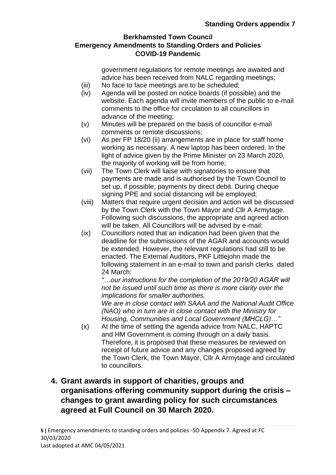government regulations for remote meetings are awaited and advice has been received from NALC regarding meetings;

- (iii) No face to face meetings are to be scheduled;
- (iv) Agenda will be posted on notice boards (if possible) and the website. Each agenda will invite members of the public to e-mail comments to the office for circulation to all councillors in advance of the meeting;
- (v) Minutes will be prepared on the basis of councillor e-mail comments or remote discussions;
- (vi) As per FP 18/20 (ii) arrangements are in place for staff home working as necessary. A new laptop has been ordered. In the light of advice given by the Prime Minister on 23 March 2020, the majority of working will be from home;
- (vii) The Town Clerk will liaise with signatories to ensure that payments are made and is authorised by the Town Council to set up, if possible, payments by direct debit. During cheque signing PPE and social distancing will be employed;
- (viii) Matters that require urgent decision and action will be discussed by the Town Clerk with the Town Mayor and Cllr A Armytage. Following such discussions, the appropriate and agreed action will be taken. All Councillors will be advised by e-mail:
- (ix) Councillors noted that an indication had been given that the deadline for the submissions of the AGAR and accounts would be extended. However, the relevant regulations had still to be enacted. The External Auditors, PKF Littlejohn made the following statement in an e-mail to town and parish clerks dated 24 March:

*"…our instructions for the completion of the 2019/20 AGAR will not be issued until such time as there is more clarity over the implications for smaller authorities.*

*We are in close contact with SAAA and the National Audit Office (NAO) who in turn are in close contact with the Ministry for Housing, Communities and Local Government (MHCLG)…"*

(x) At the time of setting the agenda advice from NALC, HAPTC and HM Government is coming through on a daily basis. Therefore, it is proposed that these measures be reviewed on receipt of future advice and any changes proposed agreed by the Town Clerk, the Town Mayor, Cllr A Armytage and circulated to councillors.

# **4. Grant awards in support of charities, groups and organisations offering community support during the crisis – changes to grant awarding policy for such circumstances agreed at Full Council on 30 March 2020.**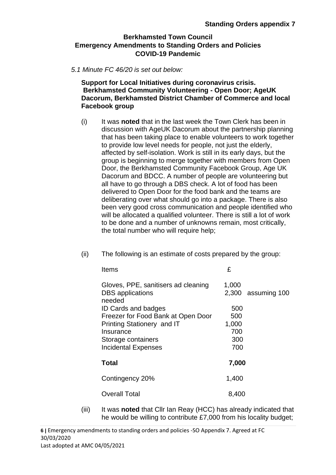#### *5.1 Minute FC 46/20 is set out below:*

**Support for Local Initiatives during coronavirus crisis. Berkhamsted Community Volunteering - Open Door; AgeUK Dacorum, Berkhamsted District Chamber of Commerce and local Facebook group**

(i) It was **noted** that in the last week the Town Clerk has been in discussion with AgeUK Dacorum about the partnership planning that has been taking place to enable volunteers to work together to provide low level needs for people, not just the elderly, affected by self-isolation. Work is still in its early days, but the group is beginning to merge together with members from Open Door, the Berkhamsted Community Facebook Group, Age UK Dacorum and BDCC. A number of people are volunteering but all have to go through a DBS check. A lot of food has been delivered to Open Door for the food bank and the teams are deliberating over what should go into a package. There is also been very good cross communication and people identified who will be allocated a qualified volunteer. There is still a lot of work to be done and a number of unknowns remain, most critically, the total number who will require help;

| Items                                                                    | £              |              |
|--------------------------------------------------------------------------|----------------|--------------|
| Gloves, PPE, sanitisers ad cleaning<br><b>DBS</b> applications<br>needed | 1,000<br>2,300 | assuming 100 |
| <b>ID Cards and badges</b>                                               | 500            |              |
| Freezer for Food Bank at Open Door                                       | 500            |              |
| Printing Stationery and IT                                               | 1,000          |              |
| Insurance                                                                | 700            |              |
| Storage containers                                                       | 300            |              |
| <b>Incidental Expenses</b>                                               | 700            |              |
| Total                                                                    | 7,000          |              |
| Contingency 20%                                                          | 1,400          |              |
| Overall Total                                                            | 8,400          |              |

(ii) The following is an estimate of costs prepared by the group:

(iii) It was **noted** that Cllr Ian Reay (HCC) has already indicated that he would be willing to contribute £7,000 from his locality budget;

**6 |** Emergency amendments to standing orders and policies -SO Appendix 7. Agreed at FC 30/03/2020 Last adopted at AMC 04/05/2021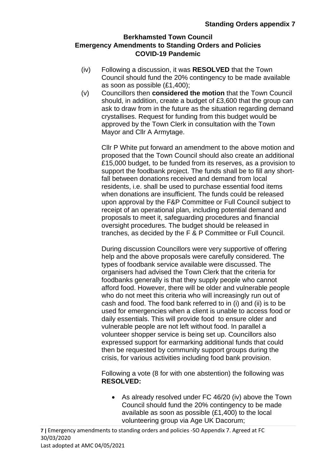- (iv) Following a discussion, it was **RESOLVED** that the Town Council should fund the 20% contingency to be made available as soon as possible (£1,400);
- (v) Councillors then **considered the motion** that the Town Council should, in addition, create a budget of £3,600 that the group can ask to draw from in the future as the situation regarding demand crystallises. Request for funding from this budget would be approved by the Town Clerk in consultation with the Town Mayor and Cllr A Armytage.

Cllr P White put forward an amendment to the above motion and proposed that the Town Council should also create an additional £15,000 budget, to be funded from its reserves, as a provision to support the foodbank project. The funds shall be to fill any shortfall between donations received and demand from local residents, i.e. shall be used to purchase essential food items when donations are insufficient. The funds could be released upon approval by the F&P Committee or Full Council subject to receipt of an operational plan, including potential demand and proposals to meet it, safeguarding procedures and financial oversight procedures. The budget should be released in tranches, as decided by the F & P Committee or Full Council.

During discussion Councillors were very supportive of offering help and the above proposals were carefully considered. The types of foodbank service available were discussed. The organisers had advised the Town Clerk that the criteria for foodbanks generally is that they supply people who cannot afford food. However, there will be older and vulnerable people who do not meet this criteria who will increasingly run out of cash and food. The food bank referred to in (i) and (ii) is to be used for emergencies when a client is unable to access food or daily essentials. This will provide food to ensure older and vulnerable people are not left without food. In parallel a volunteer shopper service is being set up. Councillors also expressed support for earmarking additional funds that could then be requested by community support groups during the crisis, for various activities including food bank provision.

Following a vote (8 for with one abstention) the following was **RESOLVED:**

• As already resolved under FC 46/20 (iv) above the Town Council should fund the 20% contingency to be made available as soon as possible (£1,400) to the local volunteering group via Age UK Dacorum;

**7 |** Emergency amendments to standing orders and policies -SO Appendix 7. Agreed at FC 30/03/2020 Last adopted at AMC 04/05/2021